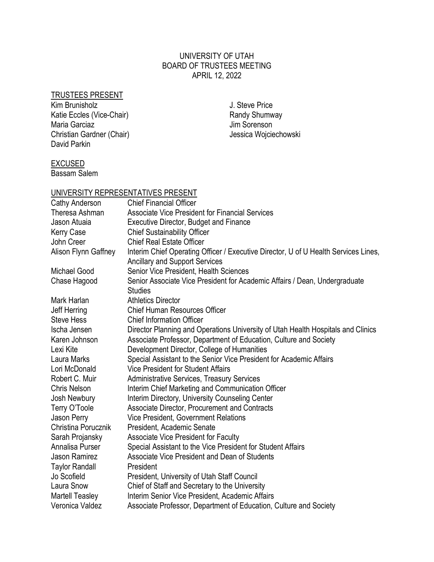### UNIVERSITY OF UTAH BOARD OF TRUSTEES MEETING APRIL 12, 2022

### TRUSTEES PRESENT

Kim Brunisholz Katie Eccles (Vice-Chair) Maria Garciaz Christian Gardner (Chair) David Parkin

J. Steve Price Randy Shumway Jim Sorenson Jessica Wojciechowski

# **EXCUSED**

Bassam Salem

# UNIVERSITY REPRESENTATIVES PRESENT

| Cathy Anderson         | <b>Chief Financial Officer</b>                                                                                               |
|------------------------|------------------------------------------------------------------------------------------------------------------------------|
| Theresa Ashman         | <b>Associate Vice President for Financial Services</b>                                                                       |
| Jason Atuaia           | <b>Executive Director, Budget and Finance</b>                                                                                |
| <b>Kerry Case</b>      | <b>Chief Sustainability Officer</b>                                                                                          |
| John Creer             | <b>Chief Real Estate Officer</b>                                                                                             |
| Alison Flynn Gaffney   | Interim Chief Operating Officer / Executive Director, U of U Health Services Lines,<br><b>Ancillary and Support Services</b> |
| Michael Good           | Senior Vice President, Health Sciences                                                                                       |
| Chase Hagood           | Senior Associate Vice President for Academic Affairs / Dean, Undergraduate<br><b>Studies</b>                                 |
| Mark Harlan            | <b>Athletics Director</b>                                                                                                    |
| Jeff Herring           | <b>Chief Human Resources Officer</b>                                                                                         |
| <b>Steve Hess</b>      | <b>Chief Information Officer</b>                                                                                             |
| Ischa Jensen           | Director Planning and Operations University of Utah Health Hospitals and Clinics                                             |
| Karen Johnson          | Associate Professor, Department of Education, Culture and Society                                                            |
| Lexi Kite              | Development Director, College of Humanities                                                                                  |
| Laura Marks            | Special Assistant to the Senior Vice President for Academic Affairs                                                          |
| Lori McDonald          | <b>Vice President for Student Affairs</b>                                                                                    |
| Robert C. Muir         | <b>Administrative Services, Treasury Services</b>                                                                            |
| Chris Nelson           | Interim Chief Marketing and Communication Officer                                                                            |
| Josh Newbury           | Interim Directory, University Counseling Center                                                                              |
| Terry O'Toole          | Associate Director, Procurement and Contracts                                                                                |
| Jason Perry            | <b>Vice President, Government Relations</b>                                                                                  |
| Christina Porucznik    | President, Academic Senate                                                                                                   |
| Sarah Projansky        | <b>Associate Vice President for Faculty</b>                                                                                  |
| Annalisa Purser        | Special Assistant to the Vice President for Student Affairs                                                                  |
| Jason Ramirez          | Associate Vice President and Dean of Students                                                                                |
| <b>Taylor Randall</b>  | President                                                                                                                    |
| Jo Scofield            | President, University of Utah Staff Council                                                                                  |
| Laura Snow             | Chief of Staff and Secretary to the University                                                                               |
| <b>Martell Teasley</b> | Interim Senior Vice President, Academic Affairs                                                                              |
| Veronica Valdez        | Associate Professor, Department of Education, Culture and Society                                                            |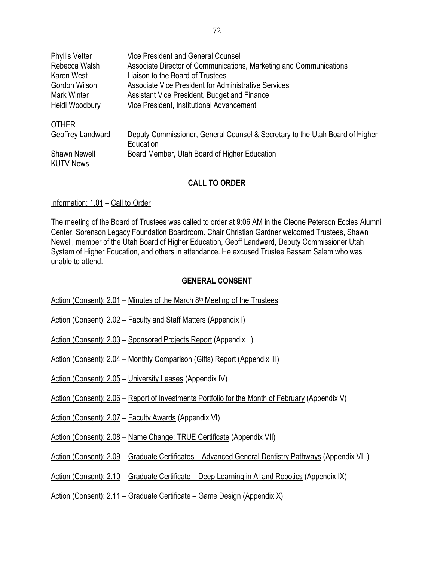| <b>Phyllis Vetter</b>                   | Vice President and General Counsel                                                        |
|-----------------------------------------|-------------------------------------------------------------------------------------------|
| Rebecca Walsh                           | Associate Director of Communications, Marketing and Communications                        |
| Karen West                              | Liaison to the Board of Trustees                                                          |
| Gordon Wilson                           | Associate Vice President for Administrative Services                                      |
| <b>Mark Winter</b>                      | Assistant Vice President, Budget and Finance                                              |
| Heidi Woodbury                          | Vice President, Institutional Advancement                                                 |
| <b>OTHER</b>                            |                                                                                           |
| Geoffrey Landward                       | Deputy Commissioner, General Counsel & Secretary to the Utah Board of Higher<br>Education |
| <b>Shawn Newell</b><br><b>KUTV News</b> | Board Member, Utah Board of Higher Education                                              |

### **CALL TO ORDER**

#### Information: 1.01 – Call to Order

The meeting of the Board of Trustees was called to order at 9:06 AM in the Cleone Peterson Eccles Alumni Center, Sorenson Legacy Foundation Boardroom. Chair Christian Gardner welcomed Trustees, Shawn Newell, member of the Utah Board of Higher Education, Geoff Landward, Deputy Commissioner Utah System of Higher Education, and others in attendance. He excused Trustee Bassam Salem who was unable to attend.

#### **GENERAL CONSENT**

| Action (Consent): 2.01 – Minutes of the March $8th$ Meeting of the Trustees |
|-----------------------------------------------------------------------------|
|-----------------------------------------------------------------------------|

- Action (Consent): 2.02 Faculty and Staff Matters (Appendix I)
- Action (Consent): 2.03 Sponsored Projects Report (Appendix II)
- Action (Consent): 2.04 Monthly Comparison (Gifts) Report (Appendix III)
- Action (Consent): 2.05 University Leases (Appendix IV)
- Action (Consent): 2.06 Report of Investments Portfolio for the Month of February (Appendix V)
- Action (Consent): 2.07 Faculty Awards (Appendix VI)
- Action (Consent): 2.08 Name Change: TRUE Certificate (Appendix VII)
- Action (Consent): 2.09 Graduate Certificates Advanced General Dentistry Pathways (Appendix VIII)
- Action (Consent): 2.10 Graduate Certificate Deep Learning in AI and Robotics (Appendix IX)

Action (Consent): 2.11 – Graduate Certificate – Game Design (Appendix X)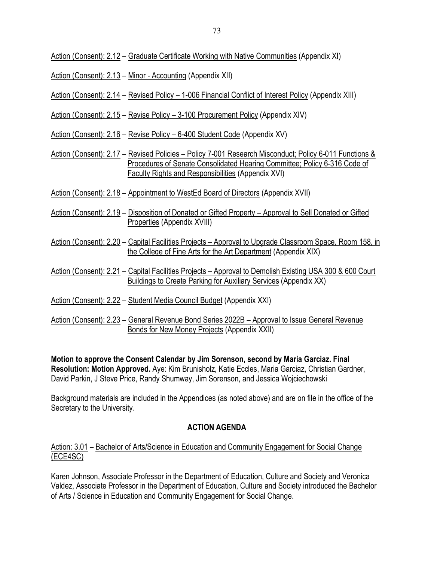Action (Consent): 2.12 – Graduate Certificate Working with Native Communities (Appendix XI)

- Action (Consent): 2.13 Minor Accounting (Appendix XII)
- Action (Consent): 2.14 Revised Policy 1-006 Financial Conflict of Interest Policy (Appendix XIII)
- Action (Consent): 2.15 Revise Policy 3-100 Procurement Policy (Appendix XIV)
- Action (Consent): 2.16 Revise Policy 6-400 Student Code (Appendix XV)
- Action (Consent): 2.17 Revised Policies Policy 7-001 Research Misconduct; Policy 6-011 Functions & Procedures of Senate Consolidated Hearing Committee; Policy 6-316 Code of Faculty Rights and Responsibilities (Appendix XVI)
- Action (Consent): 2.18 Appointment to WestEd Board of Directors (Appendix XVII)
- Action (Consent): 2.19 Disposition of Donated or Gifted Property Approval to Sell Donated or Gifted Properties (Appendix XVIII)
- Action (Consent): 2.20 Capital Facilities Projects Approval to Upgrade Classroom Space, Room 158, in the College of Fine Arts for the Art Department (Appendix XIX)
- Action (Consent): 2.21 Capital Facilities Projects Approval to Demolish Existing USA 300 & 600 Court Buildings to Create Parking for Auxiliary Services (Appendix XX)
- Action (Consent): 2.22 Student Media Council Budget (Appendix XXI)
- Action (Consent): 2.23 General Revenue Bond Series 2022B Approval to Issue General Revenue Bonds for New Money Projects (Appendix XXII)

**Motion to approve the Consent Calendar by Jim Sorenson, second by Maria Garciaz. Final Resolution: Motion Approved.** Aye: Kim Brunisholz, Katie Eccles, Maria Garciaz, Christian Gardner, David Parkin, J Steve Price, Randy Shumway, Jim Sorenson, and Jessica Wojciechowski

Background materials are included in the Appendices (as noted above) and are on file in the office of the Secretary to the University.

# **ACTION AGENDA**

### Action: 3.01 – Bachelor of Arts/Science in Education and Community Engagement for Social Change (ECE4SC)

Karen Johnson, Associate Professor in the Department of Education, Culture and Society and Veronica Valdez, Associate Professor in the Department of Education, Culture and Society introduced the Bachelor of Arts / Science in Education and Community Engagement for Social Change.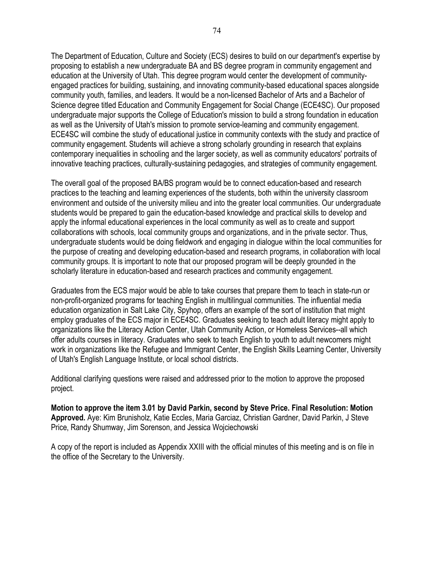The Department of Education, Culture and Society (ECS) desires to build on our department's expertise by proposing to establish a new undergraduate BA and BS degree program in community engagement and education at the University of Utah. This degree program would center the development of communityengaged practices for building, sustaining, and innovating community-based educational spaces alongside community youth, families, and leaders. It would be a non-licensed Bachelor of Arts and a Bachelor of Science degree titled Education and Community Engagement for Social Change (ECE4SC). Our proposed undergraduate major supports the College of Education's mission to build a strong foundation in education as well as the University of Utah's mission to promote service-learning and community engagement. ECE4SC will combine the study of educational justice in community contexts with the study and practice of community engagement. Students will achieve a strong scholarly grounding in research that explains contemporary inequalities in schooling and the larger society, as well as community educators' portraits of innovative teaching practices, culturally-sustaining pedagogies, and strategies of community engagement.

The overall goal of the proposed BA/BS program would be to connect education-based and research practices to the teaching and learning experiences of the students, both within the university classroom environment and outside of the university milieu and into the greater local communities. Our undergraduate students would be prepared to gain the education-based knowledge and practical skills to develop and apply the informal educational experiences in the local community as well as to create and support collaborations with schools, local community groups and organizations, and in the private sector. Thus, undergraduate students would be doing fieldwork and engaging in dialogue within the local communities for the purpose of creating and developing education-based and research programs, in collaboration with local community groups. It is important to note that our proposed program will be deeply grounded in the scholarly literature in education-based and research practices and community engagement.

Graduates from the ECS major would be able to take courses that prepare them to teach in state-run or non-profit-organized programs for teaching English in multilingual communities. The influential media education organization in Salt Lake City, Spyhop, offers an example of the sort of institution that might employ graduates of the ECS major in ECE4SC. Graduates seeking to teach adult literacy might apply to organizations like the Literacy Action Center, Utah Community Action, or Homeless Services--all which offer adults courses in literacy. Graduates who seek to teach English to youth to adult newcomers might work in organizations like the Refugee and Immigrant Center, the English Skills Learning Center, University of Utah's English Language Institute, or local school districts.

Additional clarifying questions were raised and addressed prior to the motion to approve the proposed project.

**Motion to approve the item 3.01 by David Parkin, second by Steve Price. Final Resolution: Motion Approved.** Aye: Kim Brunisholz, Katie Eccles, Maria Garciaz, Christian Gardner, David Parkin, J Steve Price, Randy Shumway, Jim Sorenson, and Jessica Wojciechowski

A copy of the report is included as Appendix XXIII with the official minutes of this meeting and is on file in the office of the Secretary to the University.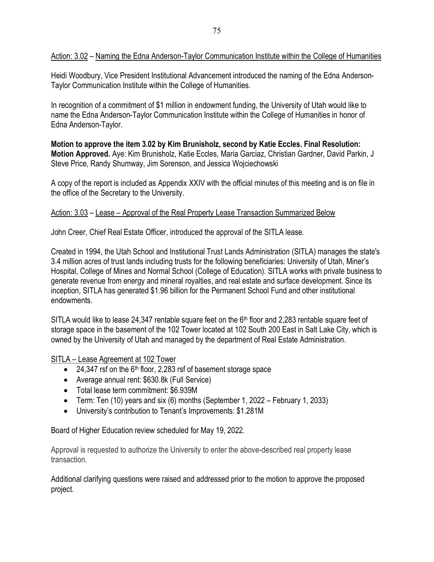### Action: 3.02 – Naming the Edna Anderson-Taylor Communication Institute within the College of Humanities

Heidi Woodbury, Vice President Institutional Advancement introduced the naming of the Edna Anderson-Taylor Communication Institute within the College of Humanities.

In recognition of a commitment of \$1 million in endowment funding, the University of Utah would like to name the Edna Anderson-Taylor Communication Institute within the College of Humanities in honor of Edna Anderson-Taylor.

**Motion to approve the item 3.02 by Kim Brunisholz, second by Katie Eccles. Final Resolution: Motion Approved.** Aye: Kim Brunisholz, Katie Eccles, Maria Garciaz, Christian Gardner, David Parkin, J Steve Price, Randy Shumway, Jim Sorenson, and Jessica Wojciechowski

A copy of the report is included as Appendix XXIV with the official minutes of this meeting and is on file in the office of the Secretary to the University.

### Action: 3.03 – Lease – Approval of the Real Property Lease Transaction Summarized Below

John Creer, Chief Real Estate Officer, introduced the approval of the SITLA lease.

Created in 1994, the Utah School and Institutional Trust Lands Administration (SITLA) manages the state's 3.4 million acres of trust lands including trusts for the following beneficiaries: University of Utah, Miner's Hospital, College of Mines and Normal School (College of Education). SITLA works with private business to generate revenue from energy and mineral royalties, and real estate and surface development. Since its inception, SITLA has generated \$1.96 billion for the Permanent School Fund and other institutional endowments.

SITLA would like to lease 24,347 rentable square feet on the 6<sup>th</sup> floor and 2,283 rentable square feet of storage space in the basement of the 102 Tower located at 102 South 200 East in Salt Lake City, which is owned by the University of Utah and managed by the department of Real Estate Administration.

### SITLA – Lease Agreement at 102 Tower

- $\bullet$  24,347 rsf on the 6<sup>th</sup> floor, 2,283 rsf of basement storage space
- Average annual rent: \$630.8k (Full Service)
- Total lease term commitment: \$6.939M
- Term: Ten (10) years and six (6) months (September 1, 2022 February 1, 2033)
- University's contribution to Tenant's Improvements: \$1.281M

Board of Higher Education review scheduled for May 19, 2022.

Approval is requested to authorize the University to enter the above-described real property lease transaction.

Additional clarifying questions were raised and addressed prior to the motion to approve the proposed project.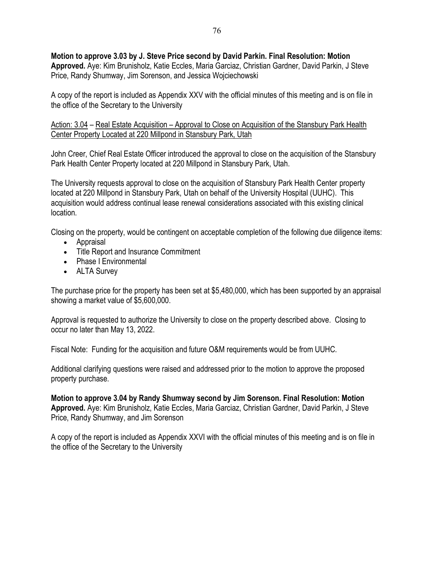**Motion to approve 3.03 by J. Steve Price second by David Parkin. Final Resolution: Motion Approved.** Aye: Kim Brunisholz, Katie Eccles, Maria Garciaz, Christian Gardner, David Parkin, J Steve Price, Randy Shumway, Jim Sorenson, and Jessica Wojciechowski

A copy of the report is included as Appendix XXV with the official minutes of this meeting and is on file in the office of the Secretary to the University

Action: 3.04 – Real Estate Acquisition – Approval to Close on Acquisition of the Stansbury Park Health Center Property Located at 220 Millpond in Stansbury Park, Utah

John Creer, Chief Real Estate Officer introduced the approval to close on the acquisition of the Stansbury Park Health Center Property located at 220 Millpond in Stansbury Park, Utah.

The University requests approval to close on the acquisition of Stansbury Park Health Center property located at 220 Millpond in Stansbury Park, Utah on behalf of the University Hospital (UUHC). This acquisition would address continual lease renewal considerations associated with this existing clinical location.

Closing on the property, would be contingent on acceptable completion of the following due diligence items:

- Appraisal
- Title Report and Insurance Commitment
- Phase I Environmental
- ALTA Survey

The purchase price for the property has been set at \$5,480,000, which has been supported by an appraisal showing a market value of \$5,600,000.

Approval is requested to authorize the University to close on the property described above. Closing to occur no later than May 13, 2022.

Fiscal Note: Funding for the acquisition and future O&M requirements would be from UUHC.

Additional clarifying questions were raised and addressed prior to the motion to approve the proposed property purchase.

**Motion to approve 3.04 by Randy Shumway second by Jim Sorenson. Final Resolution: Motion Approved.** Aye: Kim Brunisholz, Katie Eccles, Maria Garciaz, Christian Gardner, David Parkin, J Steve Price, Randy Shumway, and Jim Sorenson

A copy of the report is included as Appendix XXVI with the official minutes of this meeting and is on file in the office of the Secretary to the University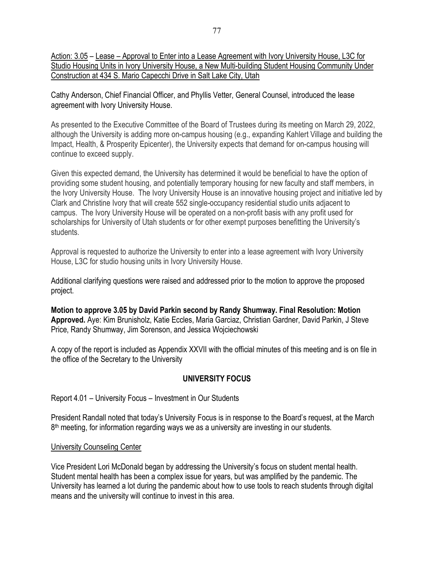Action: 3.05 – Lease – Approval to Enter into a Lease Agreement with Ivory University House, L3C for Studio Housing Units in Ivory University House, a New Multi-building Student Housing Community Under Construction at 434 S. Mario Capecchi Drive in Salt Lake City, Utah

Cathy Anderson, Chief Financial Officer, and Phyllis Vetter, General Counsel, introduced the lease agreement with Ivory University House.

As presented to the Executive Committee of the Board of Trustees during its meeting on March 29, 2022, although the University is adding more on-campus housing (e.g., expanding Kahlert Village and building the Impact, Health, & Prosperity Epicenter), the University expects that demand for on-campus housing will continue to exceed supply.

Given this expected demand, the University has determined it would be beneficial to have the option of providing some student housing, and potentially temporary housing for new faculty and staff members, in the Ivory University House. The Ivory University House is an innovative housing project and initiative led by Clark and Christine Ivory that will create 552 single-occupancy residential studio units adjacent to campus. The Ivory University House will be operated on a non-profit basis with any profit used for scholarships for University of Utah students or for other exempt purposes benefitting the University's students.

Approval is requested to authorize the University to enter into a lease agreement with Ivory University House, L3C for studio housing units in Ivory University House.

Additional clarifying questions were raised and addressed prior to the motion to approve the proposed project.

**Motion to approve 3.05 by David Parkin second by Randy Shumway. Final Resolution: Motion Approved.** Aye: Kim Brunisholz, Katie Eccles, Maria Garciaz, Christian Gardner, David Parkin, J Steve Price, Randy Shumway, Jim Sorenson, and Jessica Wojciechowski

A copy of the report is included as Appendix XXVII with the official minutes of this meeting and is on file in the office of the Secretary to the University

# **UNIVERSITY FOCUS**

Report 4.01 – University Focus – Investment in Our Students

President Randall noted that today's University Focus is in response to the Board's request, at the March 8<sup>th</sup> meeting, for information regarding ways we as a university are investing in our students.

### University Counseling Center

Vice President Lori McDonald began by addressing the University's focus on student mental health. Student mental health has been a complex issue for years, but was amplified by the pandemic. The University has learned a lot during the pandemic about how to use tools to reach students through digital means and the university will continue to invest in this area.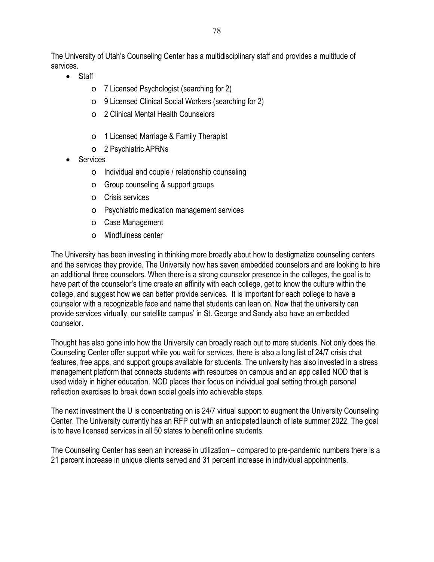The University of Utah's Counseling Center has a multidisciplinary staff and provides a multitude of services.

- Staff
	- o 7 Licensed Psychologist (searching for 2)
	- o 9 Licensed Clinical Social Workers (searching for 2)
	- o 2 Clinical Mental Health Counselors
	- o 1 Licensed Marriage & Family Therapist
	- o 2 Psychiatric APRNs
- **Services** 
	- o Individual and couple / relationship counseling
	- o Group counseling & support groups
	- o Crisis services
	- o Psychiatric medication management services
	- o Case Management
	- o Mindfulness center

The University has been investing in thinking more broadly about how to destigmatize counseling centers and the services they provide. The University now has seven embedded counselors and are looking to hire an additional three counselors. When there is a strong counselor presence in the colleges, the goal is to have part of the counselor's time create an affinity with each college, get to know the culture within the college, and suggest how we can better provide services. It is important for each college to have a counselor with a recognizable face and name that students can lean on. Now that the university can provide services virtually, our satellite campus' in St. George and Sandy also have an embedded counselor.

Thought has also gone into how the University can broadly reach out to more students. Not only does the Counseling Center offer support while you wait for services, there is also a long list of 24/7 crisis chat features, free apps, and support groups available for students. The university has also invested in a stress management platform that connects students with resources on campus and an app called NOD that is used widely in higher education. NOD places their focus on individual goal setting through personal reflection exercises to break down social goals into achievable steps.

The next investment the U is concentrating on is 24/7 virtual support to augment the University Counseling Center. The University currently has an RFP out with an anticipated launch of late summer 2022. The goal is to have licensed services in all 50 states to benefit online students.

The Counseling Center has seen an increase in utilization – compared to pre-pandemic numbers there is a 21 percent increase in unique clients served and 31 percent increase in individual appointments.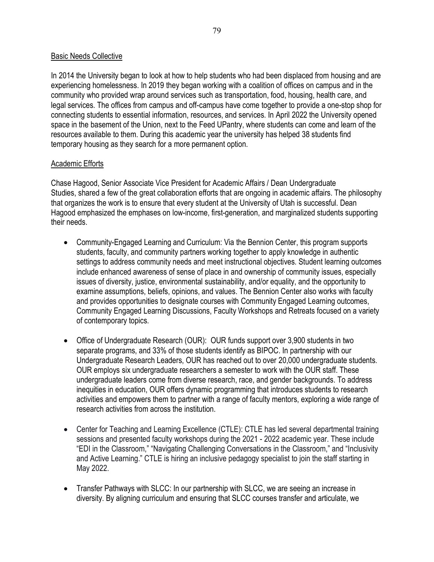#### Basic Needs Collective

In 2014 the University began to look at how to help students who had been displaced from housing and are experiencing homelessness. In 2019 they began working with a coalition of offices on campus and in the community who provided wrap around services such as transportation, food, housing, health care, and legal services. The offices from campus and off-campus have come together to provide a one-stop shop for connecting students to essential information, resources, and services. In April 2022 the University opened space in the basement of the Union, next to the Feed UPantry, where students can come and learn of the resources available to them. During this academic year the university has helped 38 students find temporary housing as they search for a more permanent option.

#### Academic Efforts

Chase Hagood, Senior Associate Vice President for Academic Affairs / Dean Undergraduate Studies, shared a few of the great collaboration efforts that are ongoing in academic affairs. The philosophy that organizes the work is to ensure that every student at the University of Utah is successful. Dean Hagood emphasized the emphases on low-income, first-generation, and marginalized students supporting their needs.

- Community-Engaged Learning and Curriculum: Via the Bennion Center, this program supports students, faculty, and community partners working together to apply knowledge in authentic settings to address community needs and meet instructional objectives. Student learning outcomes include enhanced awareness of sense of place in and ownership of community issues, especially issues of diversity, justice, environmental sustainability, and/or equality, and the opportunity to examine assumptions, beliefs, opinions, and values. The Bennion Center also works with faculty and provides opportunities to designate courses with Community Engaged Learning outcomes, Community Engaged Learning Discussions, Faculty Workshops and Retreats focused on a variety of contemporary topics.
- Office of Undergraduate Research (OUR): OUR funds support over 3,900 students in two separate programs, and 33% of those students identify as BIPOC. In partnership with our Undergraduate Research Leaders, OUR has reached out to over 20,000 undergraduate students. OUR employs six undergraduate researchers a semester to work with the OUR staff. These undergraduate leaders come from diverse research, race, and gender backgrounds. To address inequities in education, OUR offers dynamic programming that introduces students to research activities and empowers them to partner with a range of faculty mentors, exploring a wide range of research activities from across the institution.
- Center for Teaching and Learning Excellence (CTLE): CTLE has led several departmental training sessions and presented faculty workshops during the 2021 - 2022 academic year. These include "EDI in the Classroom," "Navigating Challenging Conversations in the Classroom," and "Inclusivity and Active Learning." CTLE is hiring an inclusive pedagogy specialist to join the staff starting in May 2022.
- Transfer Pathways with SLCC: In our partnership with SLCC, we are seeing an increase in diversity. By aligning curriculum and ensuring that SLCC courses transfer and articulate, we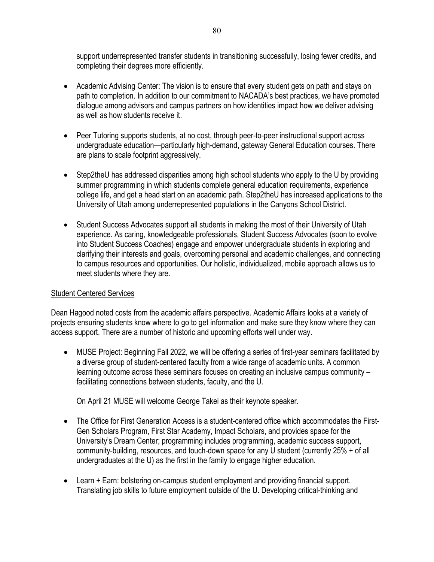support underrepresented transfer students in transitioning successfully, losing fewer credits, and completing their degrees more efficiently.

- Academic Advising Center: The vision is to ensure that every student gets on path and stays on path to completion. In addition to our commitment to NACADA's best practices, we have promoted dialogue among advisors and campus partners on how identities impact how we deliver advising as well as how students receive it.
- Peer Tutoring supports students, at no cost, through peer-to-peer instructional support across undergraduate education—particularly high-demand, gateway General Education courses. There are plans to scale footprint aggressively.
- Step2theU has addressed disparities among high school students who apply to the U by providing summer programming in which students complete general education requirements, experience college life, and get a head start on an academic path. Step2theU has increased applications to the University of Utah among underrepresented populations in the Canyons School District.
- Student Success Advocates support all students in making the most of their University of Utah experience. As caring, knowledgeable professionals, Student Success Advocates (soon to evolve into Student Success Coaches) engage and empower undergraduate students in exploring and clarifying their interests and goals, overcoming personal and academic challenges, and connecting to campus resources and opportunities. Our holistic, individualized, mobile approach allows us to meet students where they are.

### Student Centered Services

Dean Hagood noted costs from the academic affairs perspective. Academic Affairs looks at a variety of projects ensuring students know where to go to get information and make sure they know where they can access support. There are a number of historic and upcoming efforts well under way.

• MUSE Project: Beginning Fall 2022, we will be offering a series of first-year seminars facilitated by a diverse group of student-centered faculty from a wide range of academic units. A common learning outcome across these seminars focuses on creating an inclusive campus community – facilitating connections between students, faculty, and the U.

On April 21 MUSE will welcome George Takei as their keynote speaker.

- The Office for First Generation Access is a student-centered office which accommodates the First-Gen Scholars Program, First Star Academy, Impact Scholars, and provides space for the University's Dream Center; programming includes programming, academic success support, community-building, resources, and touch-down space for any U student (currently 25% + of all undergraduates at the U) as the first in the family to engage higher education.
- Learn + Earn: bolstering on-campus student employment and providing financial support. Translating job skills to future employment outside of the U. Developing critical-thinking and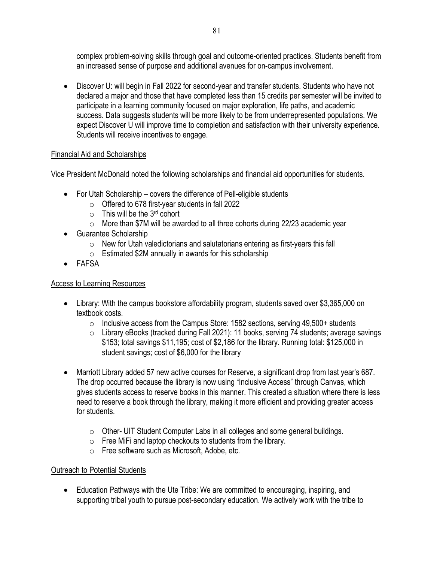complex problem-solving skills through goal and outcome-oriented practices. Students benefit from an increased sense of purpose and additional avenues for on-campus involvement.

• Discover U: will begin in Fall 2022 for second-year and transfer students. Students who have not declared a major and those that have completed less than 15 credits per semester will be invited to participate in a learning community focused on major exploration, life paths, and academic success. Data suggests students will be more likely to be from underrepresented populations. We expect Discover U will improve time to completion and satisfaction with their university experience. Students will receive incentives to engage.

# Financial Aid and Scholarships

Vice President McDonald noted the following scholarships and financial aid opportunities for students.

- For Utah Scholarship covers the difference of Pell-eligible students
	- $\circ$  Offered to 678 first-year students in fall 2022
	- $\circ$  This will be the 3<sup>rd</sup> cohort
	- $\circ$  More than \$7M will be awarded to all three cohorts during 22/23 academic year
- Guarantee Scholarship
	- $\circ$  New for Utah valedictorians and salutatorians entering as first-years this fall
	- $\circ$  Estimated \$2M annually in awards for this scholarship
- FAFSA

### Access to Learning Resources

- Library: With the campus bookstore affordability program, students saved over \$3,365,000 on textbook costs.
	- $\circ$  Inclusive access from the Campus Store: 1582 sections, serving 49,500+ students
	- o Library eBooks (tracked during Fall 2021): 11 books, serving 74 students; average savings \$153; total savings \$11,195; cost of \$2,186 for the library. Running total: \$125,000 in student savings; cost of \$6,000 for the library
- Marriott Library added 57 new active courses for Reserve, a significant drop from last year's 687. The drop occurred because the library is now using "Inclusive Access" through Canvas, which gives students access to reserve books in this manner. This created a situation where there is less need to reserve a book through the library, making it more efficient and providing greater access for students.
	- o Other- UIT Student Computer Labs in all colleges and some general buildings.
	- o Free MiFi and laptop checkouts to students from the library.
	- o Free software such as Microsoft, Adobe, etc.

### Outreach to Potential Students

• Education Pathways with the Ute Tribe: We are committed to encouraging, inspiring, and supporting tribal youth to pursue post-secondary education. We actively work with the tribe to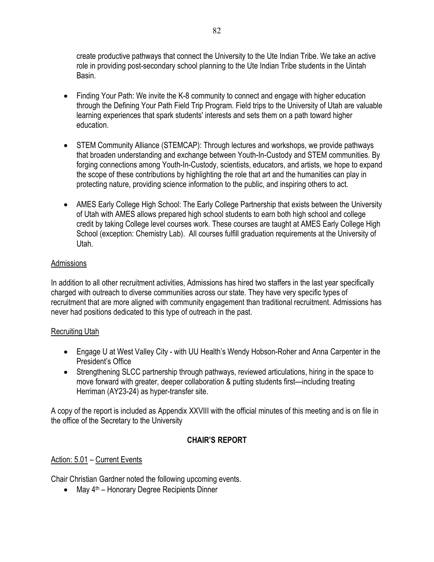create productive pathways that connect the University to the Ute Indian Tribe. We take an active role in providing post-secondary school planning to the Ute Indian Tribe students in the Uintah Basin.

- Finding Your Path: We invite the K-8 community to connect and engage with higher education through the Defining Your Path Field Trip Program. Field trips to the University of Utah are valuable learning experiences that spark students' interests and sets them on a path toward higher education.
- STEM Community Alliance (STEMCAP): Through lectures and workshops, we provide pathways that broaden understanding and exchange between Youth-In-Custody and STEM communities. By forging connections among Youth-In-Custody, scientists, educators, and artists, we hope to expand the scope of these contributions by highlighting the role that art and the humanities can play in protecting nature, providing science information to the public, and inspiring others to act.
- AMES Early College High School: The Early College Partnership that exists between the University of Utah with AMES allows prepared high school students to earn both high school and college credit by taking College level courses work. These courses are taught at AMES Early College High School (exception: Chemistry Lab). All courses fulfill graduation requirements at the University of Utah.

# **Admissions**

In addition to all other recruitment activities, Admissions has hired two staffers in the last year specifically charged with outreach to diverse communities across our state. They have very specific types of recruitment that are more aligned with community engagement than traditional recruitment. Admissions has never had positions dedicated to this type of outreach in the past.

# Recruiting Utah

- Engage U at West Valley City with UU Health's Wendy Hobson-Roher and Anna Carpenter in the President's Office
- Strengthening SLCC partnership through pathways, reviewed articulations, hiring in the space to move forward with greater, deeper collaboration & putting students first—including treating Herriman (AY23-24) as hyper-transfer site.

A copy of the report is included as Appendix XXVIII with the official minutes of this meeting and is on file in the office of the Secretary to the University

# **CHAIR'S REPORT**

# Action: 5.01 – Current Events

Chair Christian Gardner noted the following upcoming events.

• May 4<sup>th</sup> – Honorary Degree Recipients Dinner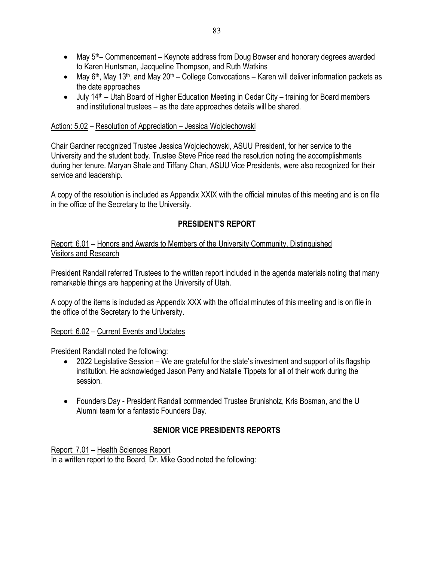- May 5<sup>th</sup>– Commencement Keynote address from Doug Bowser and honorary degrees awarded to Karen Huntsman, Jacqueline Thompson, and Ruth Watkins
- May 6<sup>th</sup>, May 13<sup>th</sup>, and May 20<sup>th</sup> College Convocations Karen will deliver information packets as the date approaches
- July 14<sup>th</sup> Utah Board of Higher Education Meeting in Cedar City training for Board members and institutional trustees – as the date approaches details will be shared.

### Action: 5.02 – Resolution of Appreciation – Jessica Wojciechowski

Chair Gardner recognized Trustee Jessica Wojciechowski, ASUU President, for her service to the University and the student body. Trustee Steve Price read the resolution noting the accomplishments during her tenure. Maryan Shale and Tiffany Chan, ASUU Vice Presidents, were also recognized for their service and leadership.

A copy of the resolution is included as Appendix XXIX with the official minutes of this meeting and is on file in the office of the Secretary to the University.

# **PRESIDENT'S REPORT**

Report: 6.01 – Honors and Awards to Members of the University Community, Distinguished Visitors and Research

President Randall referred Trustees to the written report included in the agenda materials noting that many remarkable things are happening at the University of Utah.

A copy of the items is included as Appendix XXX with the official minutes of this meeting and is on file in the office of the Secretary to the University.

### Report: 6.02 – Current Events and Updates

President Randall noted the following:

- 2022 Legislative Session We are grateful for the state's investment and support of its flagship institution. He acknowledged Jason Perry and Natalie Tippets for all of their work during the session.
- Founders Day President Randall commended Trustee Brunisholz, Kris Bosman, and the U Alumni team for a fantastic Founders Day.

# **SENIOR VICE PRESIDENTS REPORTS**

Report: 7.01 – Health Sciences Report In a written report to the Board, Dr. Mike Good noted the following: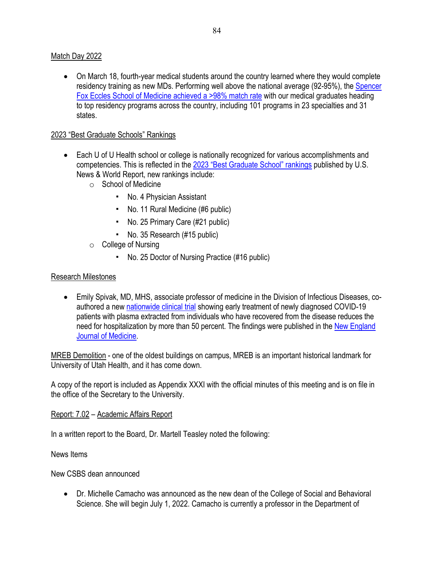#### Match Day 2022

• On March 18, fourth-year medical students around the country learned where they would complete residency training as new MDs. Performing well above the national average (92-95%), the Spencer Fox Eccles School of Medicine achieved a >98% match rate with our medical graduates heading to top residency programs across the country, including 101 programs in 23 specialties and 31 states.

#### 2023 "Best Graduate Schools" Rankings

- Each U of U Health school or college is nationally recognized for various accomplishments and competencies. This is reflected in the 2023 "Best Graduate School" rankings published by U.S. News & World Report, new rankings include:
	- o School of Medicine
		- " No. 4 Physician Assistant
		- " No. 11 Rural Medicine (#6 public)
		- " No. 25 Primary Care (#21 public)
		- " No. 35 Research (#15 public)
	- $\circ$  College of Nursing
		- " No. 25 Doctor of Nursing Practice (#16 public)

#### Research Milestones

• Emily Spivak, MD, MHS, associate professor of medicine in the Division of Infectious Diseases, coauthored a new nationwide clinical trial showing early treatment of newly diagnosed COVID-19 patients with plasma extracted from individuals who have recovered from the disease reduces the need for hospitalization by more than 50 percent. The findings were published in the New England Journal of Medicine.

MREB Demolition - one of the oldest buildings on campus, MREB is an important historical landmark for University of Utah Health, and it has come down.

A copy of the report is included as Appendix XXXI with the official minutes of this meeting and is on file in the office of the Secretary to the University.

#### Report: 7.02 – Academic Affairs Report

In a written report to the Board, Dr. Martell Teasley noted the following:

#### News Items

New CSBS dean announced

• Dr. Michelle Camacho was announced as the new dean of the College of Social and Behavioral Science. She will begin July 1, 2022. Camacho is currently a professor in the Department of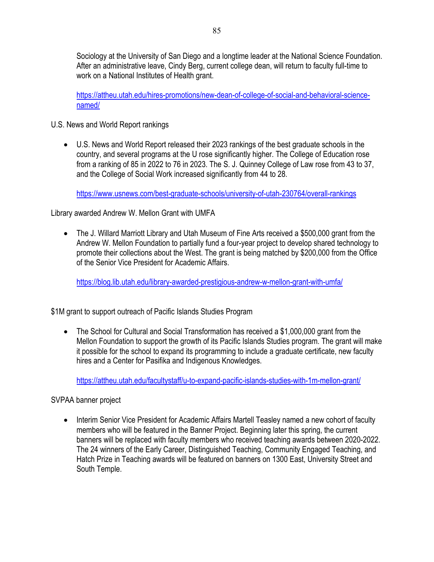Sociology at the University of San Diego and a longtime leader at the National Science Foundation. After an administrative leave, Cindy Berg, current college dean, will return to faculty full-time to work on a National Institutes of Health grant.

https://attheu.utah.edu/hires-promotions/new-dean-of-college-of-social-and-behavioral-sciencenamed/

U.S. News and World Report rankings

• U.S. News and World Report released their 2023 rankings of the best graduate schools in the country, and several programs at the U rose significantly higher. The College of Education rose from a ranking of 85 in 2022 to 76 in 2023. The S. J. Quinney College of Law rose from 43 to 37, and the College of Social Work increased significantly from 44 to 28.

https://www.usnews.com/best-graduate-schools/university-of-utah-230764/overall-rankings

Library awarded Andrew W. Mellon Grant with UMFA

• The J. Willard Marriott Library and Utah Museum of Fine Arts received a \$500,000 grant from the Andrew W. Mellon Foundation to partially fund a four-year project to develop shared technology to promote their collections about the West. The grant is being matched by \$200,000 from the Office of the Senior Vice President for Academic Affairs.

https://blog.lib.utah.edu/library-awarded-prestigious-andrew-w-mellon-grant-with-umfa/

\$1M grant to support outreach of Pacific Islands Studies Program

• The School for Cultural and Social Transformation has received a \$1,000,000 grant from the Mellon Foundation to support the growth of its Pacific Islands Studies program. The grant will make it possible for the school to expand its programming to include a graduate certificate, new faculty hires and a Center for Pasifika and Indigenous Knowledges.

https://attheu.utah.edu/facultystaff/u-to-expand-pacific-islands-studies-with-1m-mellon-grant/

SVPAA banner project

• Interim Senior Vice President for Academic Affairs Martell Teasley named a new cohort of faculty members who will be featured in the Banner Project. Beginning later this spring, the current banners will be replaced with faculty members who received teaching awards between 2020-2022. The 24 winners of the Early Career, Distinguished Teaching, Community Engaged Teaching, and Hatch Prize in Teaching awards will be featured on banners on 1300 East, University Street and South Temple.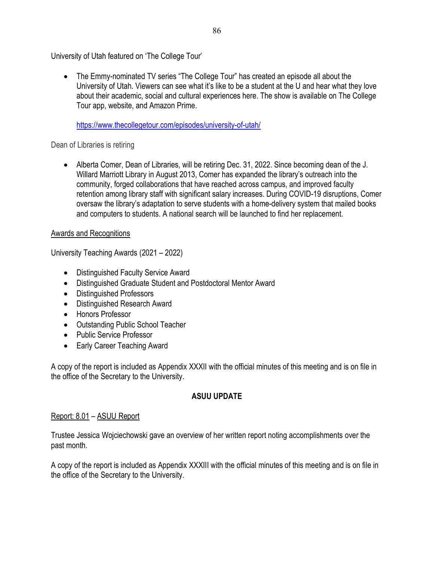University of Utah featured on 'The College Tour'

• The Emmy-nominated TV series "The College Tour" has created an episode all about the University of Utah. Viewers can see what it's like to be a student at the U and hear what they love about their academic, social and cultural experiences here. The show is available on The College Tour app, website, and Amazon Prime.

https://www.thecollegetour.com/episodes/university-of-utah/

### Dean of Libraries is retiring

• Alberta Comer, Dean of Libraries, will be retiring Dec. 31, 2022. Since becoming dean of the J. Willard Marriott Library in August 2013, Comer has expanded the library's outreach into the community, forged collaborations that have reached across campus, and improved faculty retention among library staff with significant salary increases. During COVID-19 disruptions, Comer oversaw the library's adaptation to serve students with a home-delivery system that mailed books and computers to students. A national search will be launched to find her replacement.

### Awards and Recognitions

University Teaching Awards (2021 – 2022)

- Distinguished Faculty Service Award
- Distinguished Graduate Student and Postdoctoral Mentor Award
- Distinguished Professors
- Distinguished Research Award
- Honors Professor
- Outstanding Public School Teacher
- Public Service Professor
- Early Career Teaching Award

A copy of the report is included as Appendix XXXII with the official minutes of this meeting and is on file in the office of the Secretary to the University.

# **ASUU UPDATE**

### Report: 8.01 – ASUU Report

Trustee Jessica Wojciechowski gave an overview of her written report noting accomplishments over the past month.

A copy of the report is included as Appendix XXXIII with the official minutes of this meeting and is on file in the office of the Secretary to the University.